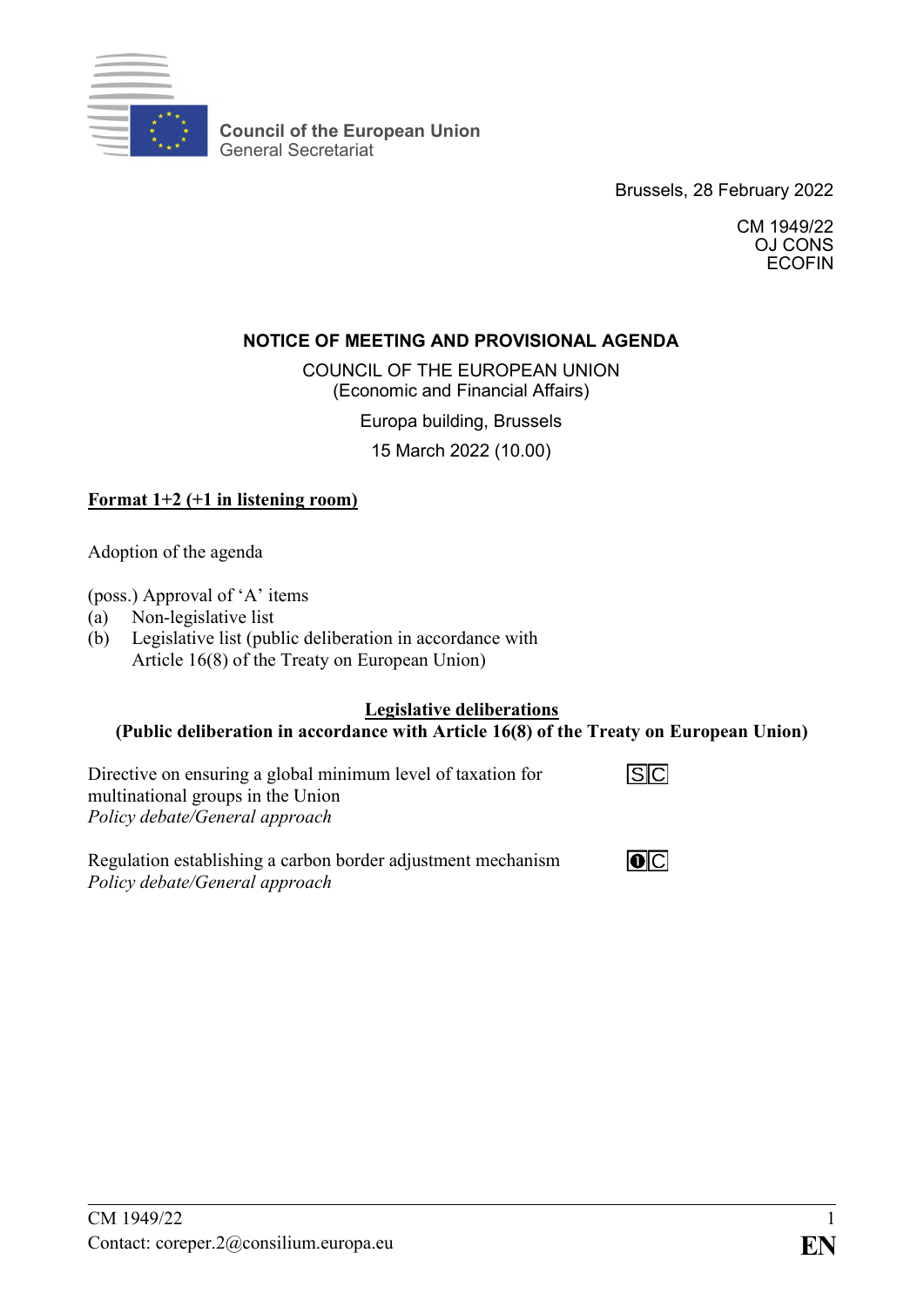

**Council of the European Union** General Secretariat

Brussels, 28 February 2022

CM 1949/22 OJ CONS ECOFIN

### **NOTICE OF MEETING AND PROVISIONAL AGENDA**

COUNCIL OF THE EUROPEAN UNION (Economic and Financial Affairs)

Europa building, Brussels

15 March 2022 (10.00)

### **Format 1+2 (+1 in listening room)**

Adoption of the agenda

(poss.) Approval of 'A' items

- (a) Non-legislative list
- (b) Legislative list (public deliberation in accordance with Article 16(8) of the Treaty on European Union)

### **Legislative deliberations**

# **(Public deliberation in accordance with Article 16(8) of the Treaty on European Union)**

Directive on ensuring a global minimum level of taxation for multinational groups in the Union *Policy debate/General approach*



Regulation establishing a carbon border adjustment mechanism *Policy debate/General approach*

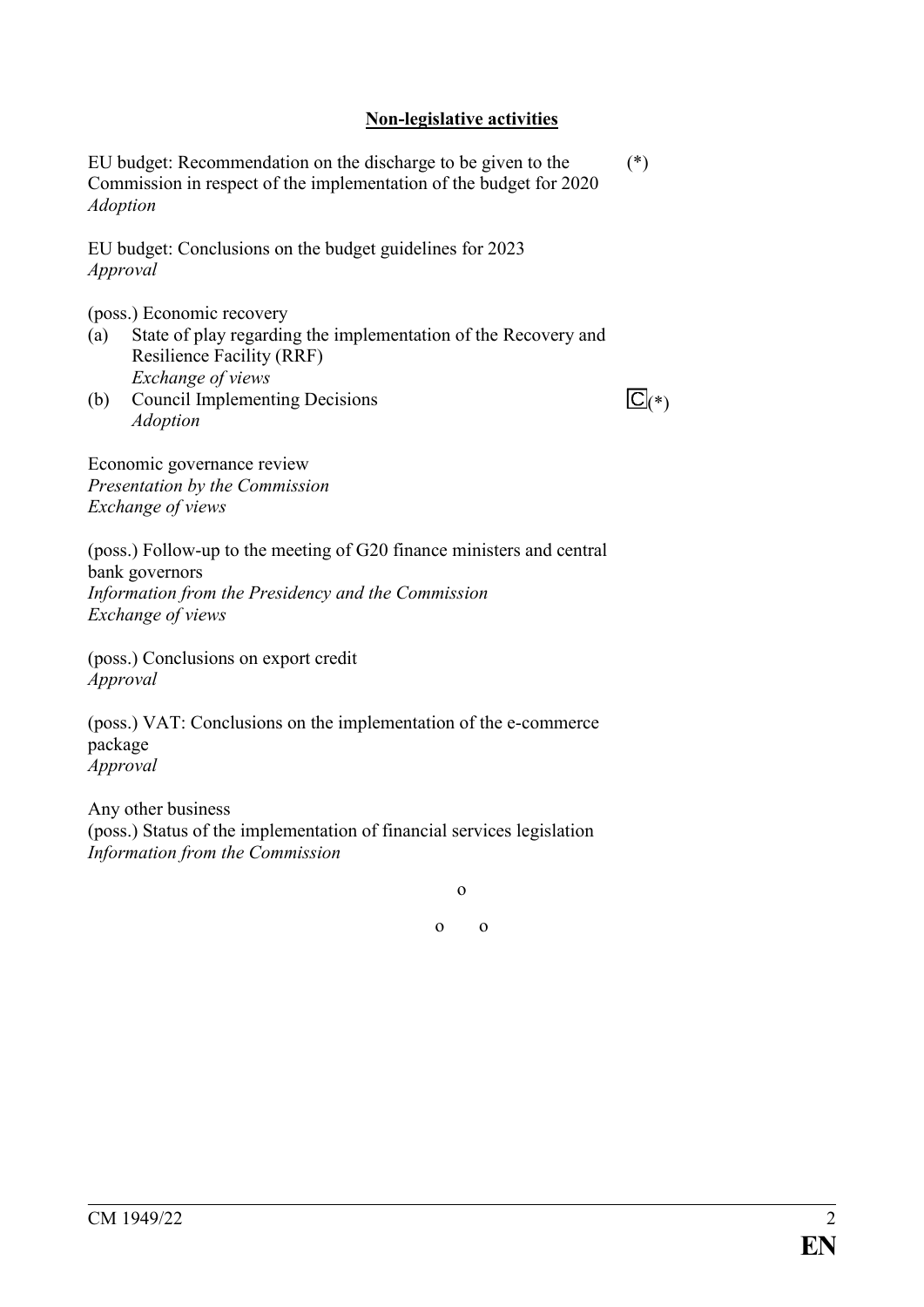#### **Non-legislative activities**

EU budget: Recommendation on the discharge to be given to the Commission in respect of the implementation of the budget for 2020 *Adoption* (\*)

EU budget: Conclusions on the budget guidelines for 2023 *Approval*

(poss.) Economic recovery

- (a) State of play regarding the implementation of the Recovery and Resilience Facility (RRF) *Exchange of views*
- (b) Council Implementing Decisions *Adoption*

 $\overline{\mathbb{C}}$ (\*)

Economic governance review *Presentation by the Commission Exchange of views*

(poss.) Follow-up to the meeting of G20 finance ministers and central bank governors *Information from the Presidency and the Commission Exchange of views*

(poss.) Conclusions on export credit *Approval*

(poss.) VAT: Conclusions on the implementation of the e-commerce package *Approval*

Any other business (poss.) Status of the implementation of financial services legislation *Information from the Commission*

o

o o